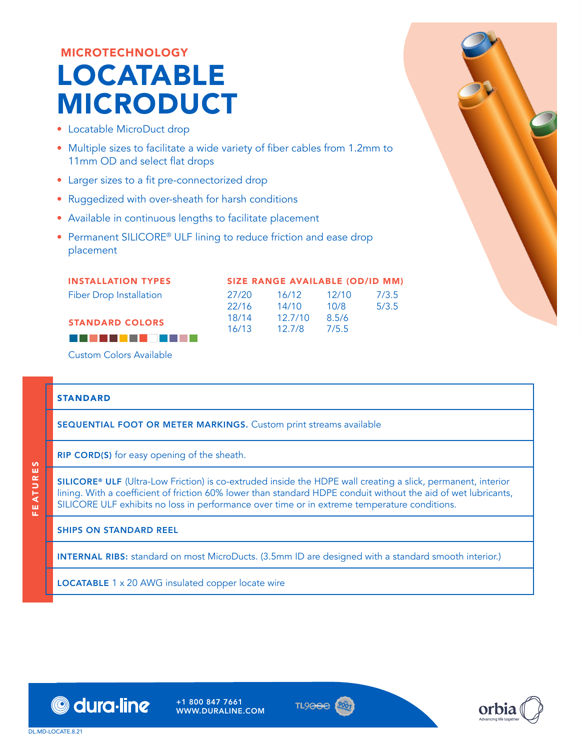## MICROTECHNOLOGY LOCATABLE MICRODUCT

- Locatable MicroDuct drop
- Multiple sizes to facilitate a wide variety of fiber cables from 1.2mm to 11mm OD and select flat drops
- Larger sizes to a fit pre-connectorized drop
- Ruggedized with over-sheath for harsh conditions
- Available in continuous lengths to facilitate placement
- Permanent SILICORE<sup>®</sup> ULF lining to reduce friction and ease drop placement

INSTALLATION TYPES

STANDARD COLORS

Fiber Drop Installation

|       | <b>SIZE RANGE AVAILABLE (OD/ID MM)</b> |       |       |
|-------|----------------------------------------|-------|-------|
| 27/20 | 16/12                                  | 12/10 | 7/3.5 |

10/8 8.5/6

5/3.5

| <i>LIIL</i> U | 10/12   | 12/10 |
|---------------|---------|-------|
| 22/16         | 14/10   | 10/8  |
| 18/14         | 12.7/10 | 8.5/6 |
| 16/13         | 12.7/8  | 7/5.5 |



Custom Colors Available

## STANDARD

FEATURES

ü.

EATURES

SEQUENTIAL FOOT OR METER MARKINGS. Custom print streams available

RIP CORD(S) for easy opening of the sheath.

SILICORE® ULF (Ultra-Low Friction) is co-extruded inside the HDPE wall creating a slick, permanent, interior lining. With a coefficient of friction 60% lower than standard HDPE conduit without the aid of wet lubricants, SILICORE ULF exhibits no loss in performance over time or in extreme temperature conditions.

## SHIPS ON STANDARD REEL

INTERNAL RIBS: standard on most MicroDucts. (3.5mm ID are designed with a standard smooth interior.)

LOCATABLE 1 x 20 AWG insulated copper locate wire



+1 800 847 7661 WWW.DURALINE.COM